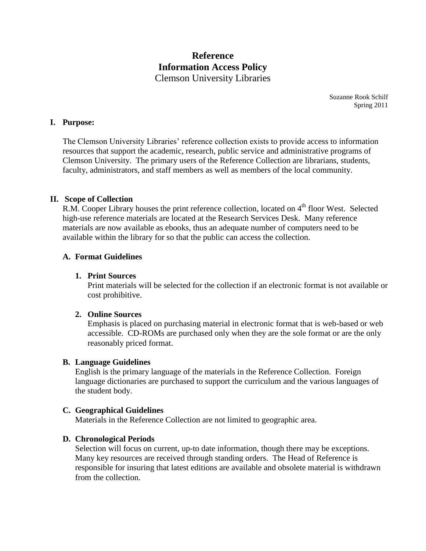# **Reference Information Access Policy** Clemson University Libraries

Suzanne Rook Schilf Spring 2011

#### **I. Purpose:**

The Clemson University Libraries' reference collection exists to provide access to information resources that support the academic, research, public service and administrative programs of Clemson University. The primary users of the Reference Collection are librarians, students, faculty, administrators, and staff members as well as members of the local community.

#### **II. Scope of Collection**

R.M. Cooper Library houses the print reference collection, located on 4<sup>th</sup> floor West. Selected high-use reference materials are located at the Research Services Desk. Many reference materials are now available as ebooks, thus an adequate number of computers need to be available within the library for so that the public can access the collection.

## **A. Format Guidelines**

#### **1. Print Sources**

Print materials will be selected for the collection if an electronic format is not available or cost prohibitive.

# **2. Online Sources**

Emphasis is placed on purchasing material in electronic format that is web-based or web accessible. CD-ROMs are purchased only when they are the sole format or are the only reasonably priced format.

#### **B. Language Guidelines**

English is the primary language of the materials in the Reference Collection. Foreign language dictionaries are purchased to support the curriculum and the various languages of the student body.

#### **C. Geographical Guidelines**

Materials in the Reference Collection are not limited to geographic area.

#### **D. Chronological Periods**

Selection will focus on current, up-to date information, though there may be exceptions. Many key resources are received through standing orders. The Head of Reference is responsible for insuring that latest editions are available and obsolete material is withdrawn from the collection.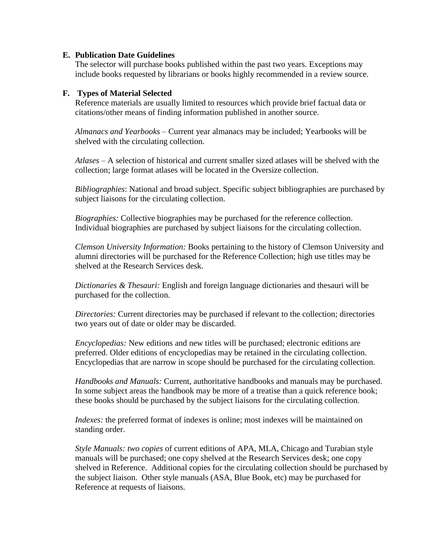## **E. Publication Date Guidelines**

The selector will purchase books published within the past two years. Exceptions may include books requested by librarians or books highly recommended in a review source.

## **F. Types of Material Selected**

Reference materials are usually limited to resources which provide brief factual data or citations/other means of finding information published in another source.

*Almanacs and Yearbooks –* Current year almanacs may be included; Yearbooks will be shelved with the circulating collection.

*Atlases –* A selection of historical and current smaller sized atlases will be shelved with the collection; large format atlases will be located in the Oversize collection.

*Bibliographies*: National and broad subject. Specific subject bibliographies are purchased by subject liaisons for the circulating collection.

*Biographies:* Collective biographies may be purchased for the reference collection. Individual biographies are purchased by subject liaisons for the circulating collection.

*Clemson University Information:* Books pertaining to the history of Clemson University and alumni directories will be purchased for the Reference Collection; high use titles may be shelved at the Research Services desk.

*Dictionaries & Thesauri:* English and foreign language dictionaries and thesauri will be purchased for the collection.

*Directories:* Current directories may be purchased if relevant to the collection; directories two years out of date or older may be discarded.

*Encyclopedias:* New editions and new titles will be purchased; electronic editions are preferred. Older editions of encyclopedias may be retained in the circulating collection. Encyclopedias that are narrow in scope should be purchased for the circulating collection.

*Handbooks and Manuals:* Current, authoritative handbooks and manuals may be purchased. In some subject areas the handbook may be more of a treatise than a quick reference book; these books should be purchased by the subject liaisons for the circulating collection.

*Indexes*: the preferred format of indexes is online; most indexes will be maintained on standing order.

*Style Manuals: two copies* of current editions of APA, MLA, Chicago and Turabian style manuals will be purchased; one copy shelved at the Research Services desk; one copy shelved in Reference. Additional copies for the circulating collection should be purchased by the subject liaison. Other style manuals (ASA, Blue Book, etc) may be purchased for Reference at requests of liaisons.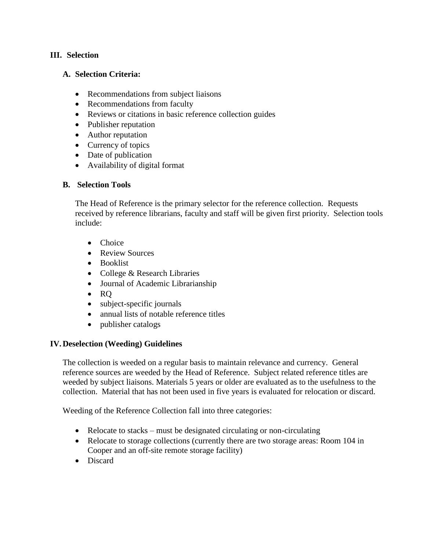# **III. Selection**

## **A. Selection Criteria:**

- Recommendations from subject liaisons
- Recommendations from faculty
- Reviews or citations in basic reference collection guides
- Publisher reputation
- Author reputation
- Currency of topics
- Date of publication
- Availability of digital format

## **B. Selection Tools**

The Head of Reference is the primary selector for the reference collection. Requests received by reference librarians, faculty and staff will be given first priority. Selection tools include:

- Choice
- Review Sources
- Booklist
- College & Research Libraries
- Journal of Academic Librarianship
- $\bullet$  RQ
- subject-specific journals
- annual lists of notable reference titles
- publisher catalogs

## **IV.Deselection (Weeding) Guidelines**

The collection is weeded on a regular basis to maintain relevance and currency. General reference sources are weeded by the Head of Reference. Subject related reference titles are weeded by subject liaisons. Materials 5 years or older are evaluated as to the usefulness to the collection. Material that has not been used in five years is evaluated for relocation or discard.

Weeding of the Reference Collection fall into three categories:

- Relocate to stacks must be designated circulating or non-circulating
- Relocate to storage collections (currently there are two storage areas: Room 104 in Cooper and an off-site remote storage facility)
- Discard